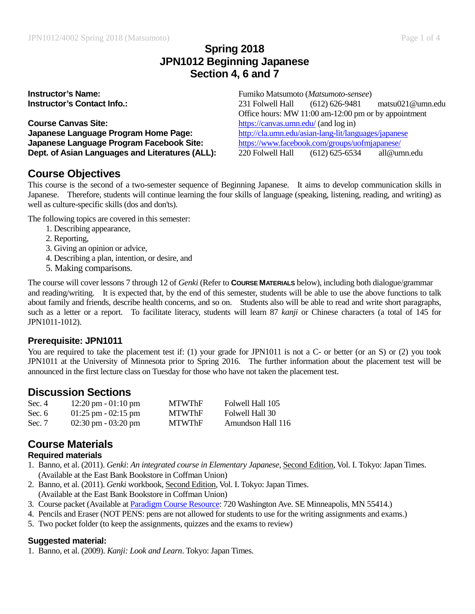## **Spring 2018 JPN1012 Beginning Japanese Section 4, 6 and 7**

**Course Canvas Site:**<br> **Course Canvas Site:**<br> **Course Canquage Program Home Page:**<br>
http://cla.umn.edu/asian-lang-lit/languages/japanese **Japanese Language Program Home Page: Japanese Language Program Facebook Site:** <https://www.facebook.com/groups/uofmjapanese/> **Dept. of Asian Languages and Literatures (ALL):** 220 Folwell Hall (612) 625-6534 all@umn.edu

**Instructor's Name:** Fumiko Matsumoto (*Matsumoto-sensee*) **Instructor's Contact Info.:** 231 Folwell Hall (612) 626-9481 matsu021@umn.edu Office hours: MW 11:00 am-12:00 pm or by appointment

# **Course Objectives**

This course is the second of a two-semester sequence of Beginning Japanese. It aims to develop communication skills in Japanese. Therefore, students will continue learning the four skills of language (speaking, listening, reading, and writing) as well as culture-specific skills (dos and don'ts).

The following topics are covered in this semester:

- 1. Describing appearance,
- 2. Reporting,
- 3. Giving an opinion or advice,
- 4. Describing a plan, intention, or desire, and
- 5. Making comparisons.

The course will cover lessons 7 through 12 of *Genki* (Refer to **COURSE MATERIALS** below), including both dialogue/grammar and reading/writing. It is expected that, by the end of this semester, students will be able to use the above functions to talk about family and friends, describe health concerns, and so on. Students also will be able to read and write short paragraphs, such as a letter or a report. To facilitate literacy, students will learn 87 *kanji* or Chinese characters (a total of 145 for JPN1011-1012).

#### **Prerequisite: JPN1011**

You are required to take the placement test if: (1) your grade for JPN1011 is not a C- or better (or an S) or (2) you took JPN1011 at the University of Minnesota prior to Spring 2016. The further information about the placement test will be announced in the first lecture class on Tuesday for those who have not taken the placement test.

## **Discussion Sections**

| Sec. 4   | $12:20 \text{ pm} - 01:10 \text{ pm}$ | <b>MTWThF</b> | Folwell Hall 105  |
|----------|---------------------------------------|---------------|-------------------|
| Sec. $6$ | $01:25 \text{ pm} - 02:15 \text{ pm}$ | <b>MTWThF</b> | Folwell Hall 30   |
| Sec. 7   | $02:30 \text{ pm} - 03:20 \text{ pm}$ | <b>MTWThF</b> | Amundson Hall 116 |

#### **Course Materials Required materials**

- 1. Banno, et al. (2011). *Genki*: *An integrated course in Elementary Japanese*, Second Edition, Vol. I. Tokyo: Japan Times. (Available at the East Bank Bookstore in Coffman Union)
- 2. Banno, et al. (2011). *Genki* workbook, Second Edition, Vol. I. Tokyo: Japan Times. (Available at the East Bank Bookstore in Coffman Union)
- 3. Course packet (Available at [Paradigm Course Resource:](http://www.paradigmcopies.com/) 720 Washington Ave. SE Minneapolis, MN 55414.)
- 4. Pencils and Eraser (NOT PENS: pens are not allowed for students to use for the writing assignments and exams.)
- 5. Two pocket folder (to keep the assignments, quizzes and the exams to review)

#### **Suggested material:**

1. Banno, et al. (2009). *Kanji: Look and Learn*. Tokyo: Japan Times.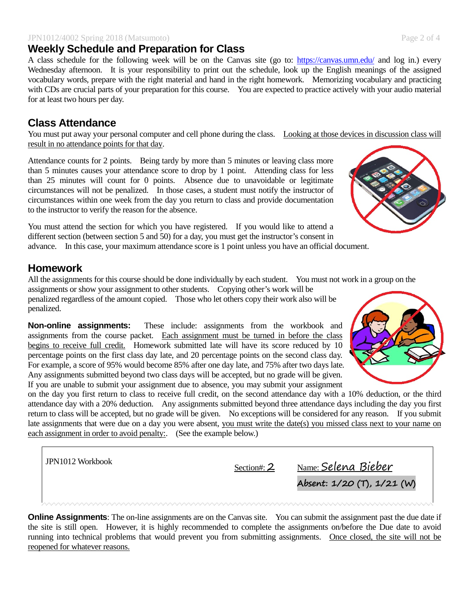#### JPN1012/4002 Spring 2018 (Matsumoto) Page 2 of 4 **Weekly Schedule and Preparation for Class**

A class schedule for the following week will be on the Canvas site (go to: <https://canvas.umn.edu/> and log in.) every Wednesday afternoon. It is your responsibility to print out the schedule, look up the English meanings of the assigned vocabulary words, prepare with the right material and hand in the right homework. Memorizing vocabulary and practicing with CDs are crucial parts of your preparation for this course. You are expected to practice actively with your audio material for at least two hours per day.

# **Class Attendance**

You must put away your personal computer and cell phone during the class. Looking at those devices in discussion class will result in no attendance points for that day.

Attendance counts for 2 points. Being tardy by more than 5 minutes or leaving class more than 5 minutes causes your attendance score to drop by 1 point. Attending class for less than 25 minutes will count for 0 points. Absence due to unavoidable or legitimate circumstances will not be penalized. In those cases, a student must notify the instructor of circumstances within one week from the day you return to class and provide documentation to the instructor to verify the reason for the absence.

You must attend the section for which you have registered. If you would like to attend a different section (between section 5 and 50) for a day, you must get the instructor's consent in advance. In this case, your maximum attendance score is 1 point unless you have an official document.

# **Homework**

All the assignments for this course should be done individually by each student. You must not work in a group on the assignments or show your assignment to other students. Copying other's work will be

penalized regardless of the amount copied. Those who let others copy their work also will be penalized.

**Non-online assignments:** These include: assignments from the workbook and assignments from the course packet. Each assignment must be turned in before the class begins to receive full credit. Homework submitted late will have its score reduced by 10 percentage points on the first class day late, and 20 percentage points on the second class day. For example, a score of 95% would become 85% after one day late, and 75% after two days late. Any assignments submitted beyond two class days will be accepted, but no grade will be given. If you are unable to submit your assignment due to absence, you may submit your assignment

on the day you first return to class to receive full credit, on the second attendance day with a 10% deduction, or the third attendance day with a 20% deduction. Any assignments submitted beyond three attendance days including the day you first return to class will be accepted, but no grade will be given. No exceptions will be considered for any reason. If you submit late assignments that were due on a day you were absent, you must write the date(s) you missed class next to your name on each assignment in order to avoid penalty: (See the example below.)

| JPN1012 Workbook | Section#: $2$ | <u>Name: Selena Bieber</u> |
|------------------|---------------|----------------------------|
|                  |               | Absent: 1/20 (T), 1/21 (W) |
|                  |               |                            |

**Online Assignments**: The on-line assignments are on the Canvas site. You can submit the assignment past the due date if the site is still open. However, it is highly recommended to complete the assignments on/before the Due date to avoid running into technical problems that would prevent you from submitting assignments. Once closed, the site will not be reopened for whatever reasons.



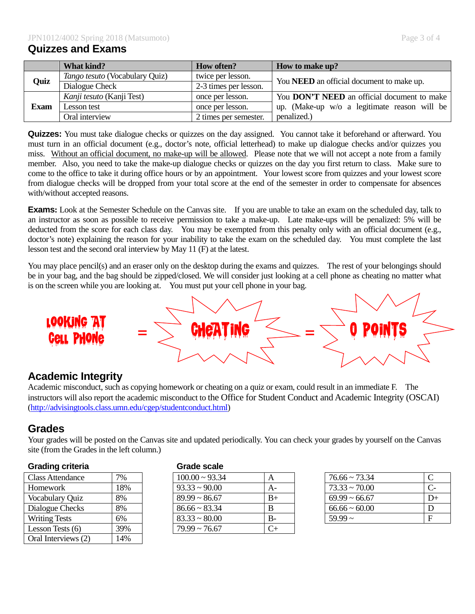### **Quizzes and Exams**

|             | What kind?                     | <b>How often?</b>     | How to make up?                                    |  |
|-------------|--------------------------------|-----------------------|----------------------------------------------------|--|
|             | Tango tesuto (Vocabulary Quiz) | twice per lesson.     | You <b>NEED</b> an official document to make up.   |  |
| Quiz        | Dialogue Check                 | 2-3 times per lesson. |                                                    |  |
| <b>Exam</b> | Kanji tesuto (Kanji Test)      | once per lesson.      | You <b>DON'T NEED</b> an official document to make |  |
|             | Lesson test                    | once per lesson.      | up. (Make-up w/o a legitimate reason will be       |  |
|             | Oral interview                 | 2 times per semester. | penalized.)                                        |  |

**Quizzes:** You must take dialogue checks or quizzes on the day assigned. You cannot take it beforehand or afterward. You must turn in an official document (e.g., doctor's note, official letterhead) to make up dialogue checks and/or quizzes you miss. Without an official document, no make-up will be allowed. Please note that we will not accept a note from a family member. Also, you need to take the make-up dialogue checks or quizzes on the day you first return to class. Make sure to come to the office to take it during office hours or by an appointment. Your lowest score from quizzes and your lowest score from dialogue checks will be dropped from your total score at the end of the semester in order to compensate for absences with/without accepted reasons.

**Exams:** Look at the Semester Schedule on the Canvas site. If you are unable to take an exam on the scheduled day, talk to an instructor as soon as possible to receive permission to take a make-up. Late make-ups will be penalized: 5% will be deducted from the score for each class day. You may be exempted from this penalty only with an official document (e.g., doctor's note) explaining the reason for your inability to take the exam on the scheduled day. You must complete the last lesson test and the second oral interview by May 11 (F) at the latest.

You may place pencil(s) and an eraser only on the desktop during the exams and quizzes. The rest of your belongings should be in your bag, and the bag should be zipped/closed. We will consider just looking at a cell phone as cheating no matter what is on the screen while you are looking at. You must put your cell phone in your bag.



## **Academic Integrity**

Academic misconduct, such as copying homework or cheating on a quiz or exam, could result in an immediate F. The instructors will also report the academic misconduct to the Office for Student Conduct and Academic Integrity (OSCAI) [\(http://advisingtools.class.umn.edu/cgep/studentconduct.html\)](http://advisingtools.class.umn.edu/cgep/studentconduct.html)

# **Grades**

Your grades will be posted on the Canvas site and updated periodically. You can check your grades by yourself on the Canvas site (from the Grades in the left column.)

#### **Grading criteria Grade scale**

| 7%  | $100.00 \sim 93.34$ | А     |  |
|-----|---------------------|-------|--|
| 18% | $93.33 \sim 90.00$  | $A-$  |  |
| 8%  | $89.99 \sim 86.67$  |       |  |
| 8%  | $86.66 \sim 83.34$  | B     |  |
| 6%  | $83.33 \sim 80.00$  | $B -$ |  |
| 39% | $79.99 \sim 76.67$  | 7+    |  |
| 14% |                     |       |  |
|     |                     |       |  |

| <b>Class Attendance</b> | 7%  | $100.00 \approx 93.34$ | A    | $76.66 \approx 73.34$ |      |
|-------------------------|-----|------------------------|------|-----------------------|------|
| Homework                | 18% | $93.33 \approx 90.00$  | A-   | $73.33 \sim 70.00$    |      |
| Vocabulary Quiz         | 8%  | $89.99 \sim 86.67$     | $B+$ | $69.99 \sim 66.67$    | $D+$ |
| Dialogue Checks         | 8%  | $86.66 \sim 83.34$     |      | $66.66 \approx 60.00$ |      |
| <b>Writing Tests</b>    | 6%  | $83.33 \sim 80.00$     | $B-$ | $59.99 -$             |      |
| Lesson Tests (6)        | 39% | $79.99 \sim 76.67$     | $C+$ |                       |      |
|                         |     |                        |      |                       |      |

| $76.66 \approx 73.34$ |      |
|-----------------------|------|
| $73.33 \approx 70.00$ |      |
| $69.99 \sim 66.67$    | $+1$ |
| $66.66 \approx 60.00$ | Ð    |
| $5999 \sim$           |      |